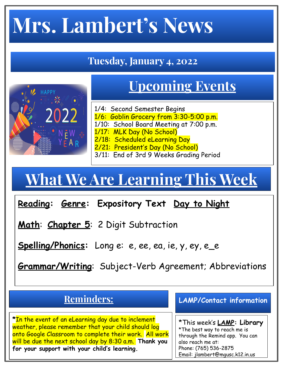# **Mrs. Lambert's News**

#### **Tuesday, January 4, 2022**

### **Upcoming Events**

- 1/4: Second Semester Begins 1/6: Goblin Grocery from 3:30-5:00 p.m. 1/10: School Board Meeting at 7:00 p.m.
- 1/17: MLK Day (No School)
- 2/18: Scheduled eLearning Day
- 2/21: President's Day (No School)
- 3/11: End of 3rd 9 Weeks Grading Period

## **What We Are Learning This Week**

**Reading: Genre: Expository Text Day to Night**

**Math**: **Chapter 5**: 2 Digit Subtraction

N <mark>E</mark> W<br>Y E **A R** 

**Spelling/Phonics:** Long e: e, ee, ea, ie, y, ey, e\_e

**Grammar/Writing**: Subject-Verb Agreement; Abbreviations

#### **Reminders:**

**\***In the event of an eLearning day due to inclement weather, please remember that your child should log onto Google Classroom to complete their work. All work will be due the next school day by 8:30 a.m. **Thank you for your support with your child's learning.** 

**LAMP/Contact information**

\*This week's **LAMP: Library** \*The best way to reach me is through the Remind app. You can also reach me at: Phone: (765) 536-2875 Email: jlambert@mgusc.k12.in.us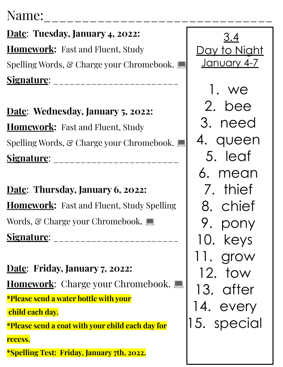### Name:

**Date**: **Tuesday, January 4, 2022: Homework:** Fast and Fluent, Study Spelling Words, & Charge your Chromebook. **Signature**: \_\_\_\_\_\_\_\_\_\_\_\_\_\_\_\_\_\_\_\_\_\_\_

**Date**: **Wednesday, January 5, 2022: Homework:** Fast and Fluent, Study Spelling Words, & Charge your Chromebook. **Signature**: \_\_\_\_\_\_\_\_\_\_\_\_\_\_\_\_\_\_\_\_\_\_\_

**Date**: **Thursday, January 6, 2022: Homework:** Fast and Fluent, Study Spelling Words, & Charge your Chromebook. **Signature**: \_\_\_\_\_\_\_\_\_\_\_\_\_\_\_\_\_\_\_\_\_\_\_

**Date**: **Friday, January 7, 2022: Homework:** Charge your Chromebook. **\*Please send a water bottle with your child each day. \*Please send a coat with your child each day for recess. \*Spelling Test: Friday, January 7th, 2022.**

3.4 Day to Night January 4-7 1. we 2. bee 3. need 4. queen 5. leaf 6. mean 7. thief 8. chief 9. pony 10. keys 11. grow 12. tow 13. after 14. every 15. special